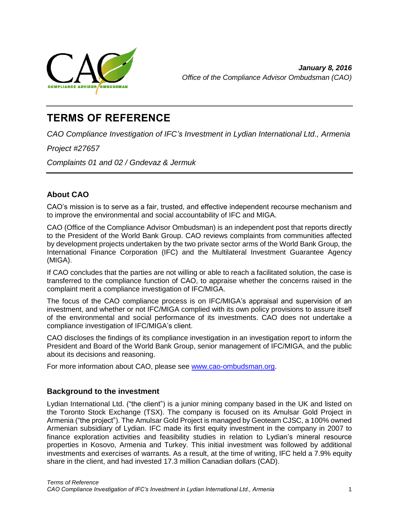

# **TERMS OF REFERENCE**

*CAO Compliance Investigation of IFC's Investment in Lydian International Ltd., Armenia*

*Project #27657*

*Complaints 01 and 02 / Gndevaz & Jermuk*

# **About CAO**

CAO's mission is to serve as a fair, trusted, and effective independent recourse mechanism and to improve the environmental and social accountability of IFC and MIGA.

CAO (Office of the Compliance Advisor Ombudsman) is an independent post that reports directly to the President of the World Bank Group. CAO reviews complaints from communities affected by development projects undertaken by the two private sector arms of the World Bank Group, the International Finance Corporation (IFC) and the Multilateral Investment Guarantee Agency (MIGA).

If CAO concludes that the parties are not willing or able to reach a facilitated solution, the case is transferred to the compliance function of CAO, to appraise whether the concerns raised in the complaint merit a compliance investigation of IFC/MIGA.

The focus of the CAO compliance process is on IFC/MIGA's appraisal and supervision of an investment, and whether or not IFC/MIGA complied with its own policy provisions to assure itself of the environmental and social performance of its investments. CAO does not undertake a compliance investigation of IFC/MIGA's client.

CAO discloses the findings of its compliance investigation in an investigation report to inform the President and Board of the World Bank Group, senior management of IFC/MIGA, and the public about its decisions and reasoning.

For more information about CAO, please see [www.cao-ombudsman.org.](http://www.cao-ombudsman.org/)

## **Background to the investment**

Lydian International Ltd. ("the client") is a junior mining company based in the UK and listed on the Toronto Stock Exchange (TSX). The company is focused on its Amulsar Gold Project in Armenia ("the project"). The Amulsar Gold Project is managed by Geoteam CJSC, a 100% owned Armenian subsidiary of Lydian. IFC made its first equity investment in the company in 2007 to finance exploration activities and feasibility studies in relation to Lydian's mineral resource properties in Kosovo, Armenia and Turkey. This initial investment was followed by additional investments and exercises of warrants. As a result, at the time of writing, IFC held a 7.9% equity share in the client, and had invested 17.3 million Canadian dollars (CAD).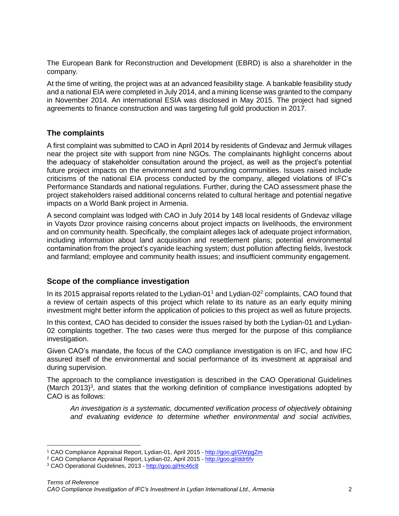The European Bank for Reconstruction and Development (EBRD) is also a shareholder in the company.

At the time of writing, the project was at an advanced feasibility stage. A bankable feasibility study and a national EIA were completed in July 2014, and a mining license was granted to the company in November 2014. An international ESIA was disclosed in May 2015. The project had signed agreements to finance construction and was targeting full gold production in 2017.

### **The complaints**

A first complaint was submitted to CAO in April 2014 by residents of Gndevaz and Jermuk villages near the project site with support from nine NGOs. The complainants highlight concerns about the adequacy of stakeholder consultation around the project, as well as the project's potential future project impacts on the environment and surrounding communities. Issues raised include criticisms of the national EIA process conducted by the company, alleged violations of IFC's Performance Standards and national regulations. Further, during the CAO assessment phase the project stakeholders raised additional concerns related to cultural heritage and potential negative impacts on a World Bank project in Armenia.

A second complaint was lodged with CAO in July 2014 by 148 local residents of Gndevaz village in Vayots Dzor province raising concerns about project impacts on livelihoods, the environment and on community health. Specifically, the complaint alleges lack of adequate project information, including information about land acquisition and resettlement plans; potential environmental contamination from the project's cyanide leaching system; dust pollution affecting fields, livestock and farmland; employee and community health issues; and insufficient community engagement.

## **Scope of the compliance investigation**

In its 2015 appraisal reports related to the Lydian-01<sup>1</sup> and Lydian-02 $2$  complaints, CAO found that a review of certain aspects of this project which relate to its nature as an early equity mining investment might better inform the application of policies to this project as well as future projects.

In this context, CAO has decided to consider the issues raised by both the Lydian-01 and Lydian-02 complaints together. The two cases were thus merged for the purpose of this compliance investigation.

Given CAO's mandate, the focus of the CAO compliance investigation is on IFC, and how IFC assured itself of the environmental and social performance of its investment at appraisal and during supervision.

The approach to the compliance investigation is described in the CAO Operational Guidelines (March 2013)<sup>3</sup>, and states that the working definition of compliance investigations adopted by CAO is as follows:

*An investigation is a systematic, documented verification process of objectively obtaining and evaluating evidence to determine whether environmental and social activities,* 

 $\overline{\phantom{a}}$ 

<sup>1</sup> CAO Compliance Appraisal Report, Lydian-01, April 2015 - <http://goo.gl/GWpgZm>

<sup>2</sup> CAO Compliance Appraisal Report, Lydian-02, April 2015 - <http://goo.gl/ddr6fv>

<sup>3</sup> CAO Operational Guidelines, 2013 - <http://goo.gl/Hc46c8>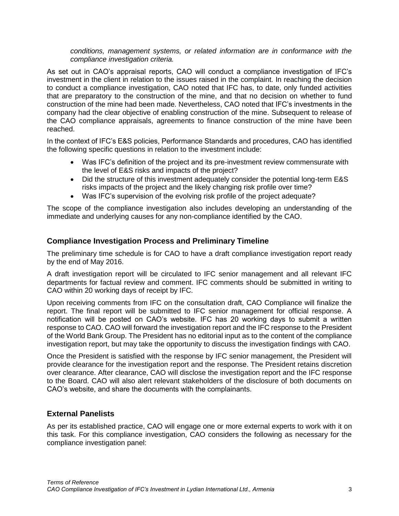*conditions, management systems, or related information are in conformance with the compliance investigation criteria.*

As set out in CAO's appraisal reports, CAO will conduct a compliance investigation of IFC's investment in the client in relation to the issues raised in the complaint. In reaching the decision to conduct a compliance investigation, CAO noted that IFC has, to date, only funded activities that are preparatory to the construction of the mine, and that no decision on whether to fund construction of the mine had been made. Nevertheless, CAO noted that IFC's investments in the company had the clear objective of enabling construction of the mine. Subsequent to release of the CAO compliance appraisals, agreements to finance construction of the mine have been reached.

In the context of IFC's E&S policies, Performance Standards and procedures, CAO has identified the following specific questions in relation to the investment include:

- Was IFC's definition of the project and its pre-investment review commensurate with the level of E&S risks and impacts of the project?
- Did the structure of this investment adequately consider the potential long-term E&S risks impacts of the project and the likely changing risk profile over time?
- Was IFC's supervision of the evolving risk profile of the project adequate?

The scope of the compliance investigation also includes developing an understanding of the immediate and underlying causes for any non-compliance identified by the CAO.

#### **Compliance Investigation Process and Preliminary Timeline**

The preliminary time schedule is for CAO to have a draft compliance investigation report ready by the end of May 2016.

A draft investigation report will be circulated to IFC senior management and all relevant IFC departments for factual review and comment. IFC comments should be submitted in writing to CAO within 20 working days of receipt by IFC.

Upon receiving comments from IFC on the consultation draft, CAO Compliance will finalize the report. The final report will be submitted to IFC senior management for official response. A notification will be posted on CAO's website. IFC has 20 working days to submit a written response to CAO. CAO will forward the investigation report and the IFC response to the President of the World Bank Group. The President has no editorial input as to the content of the compliance investigation report, but may take the opportunity to discuss the investigation findings with CAO.

Once the President is satisfied with the response by IFC senior management, the President will provide clearance for the investigation report and the response. The President retains discretion over clearance. After clearance, CAO will disclose the investigation report and the IFC response to the Board. CAO will also alert relevant stakeholders of the disclosure of both documents on CAO's website, and share the documents with the complainants.

#### **External Panelists**

As per its established practice, CAO will engage one or more external experts to work with it on this task. For this compliance investigation, CAO considers the following as necessary for the compliance investigation panel: